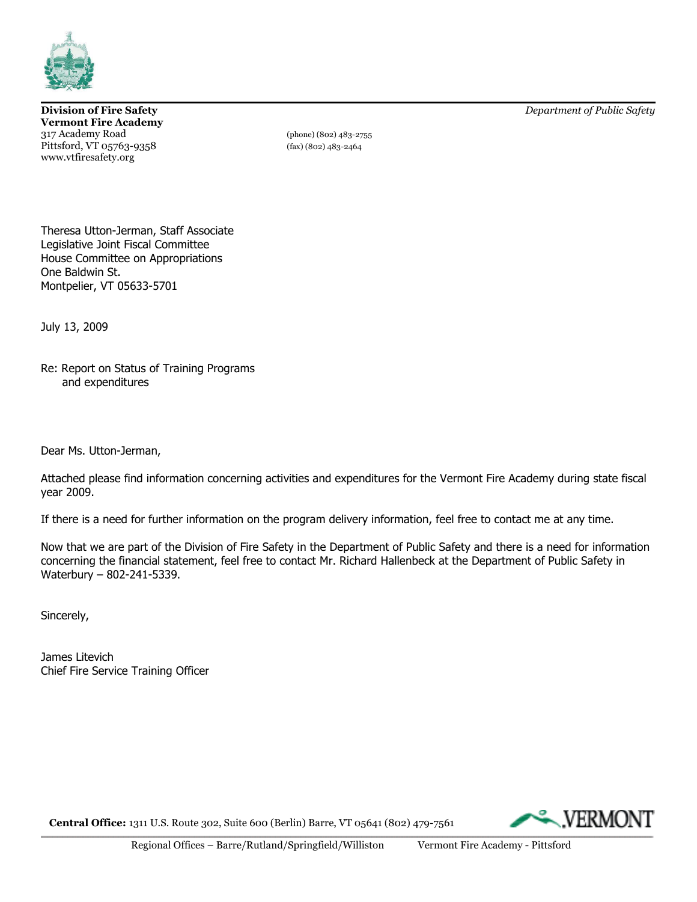

**Vermont Fire Academy** 317 Academy Road (phone) (802) 483-2755 Pittsford, VT 05763-9358 (fax) (802) 483-2464 www.vtfiresafety.org

**Division of Fire Safety** *Department of Public Safety*

Theresa Utton-Jerman, Staff Associate Legislative Joint Fiscal Committee House Committee on Appropriations One Baldwin St. Montpelier, VT 05633-5701

July 13, 2009

Re: Report on Status of Training Programs and expenditures

Dear Ms. Utton-Jerman,

Attached please find information concerning activities and expenditures for the Vermont Fire Academy during state fiscal year 2009.

If there is a need for further information on the program delivery information, feel free to contact me at any time.

Now that we are part of the Division of Fire Safety in the Department of Public Safety and there is a need for information concerning the financial statement, feel free to contact Mr. Richard Hallenbeck at the Department of Public Safety in Waterbury – 802-241-5339.

Sincerely,

James Litevich Chief Fire Service Training Officer

**Central Office:** 1311 U.S. Route 302, Suite 600 (Berlin) Barre, VT 05641 (802) 479-7561

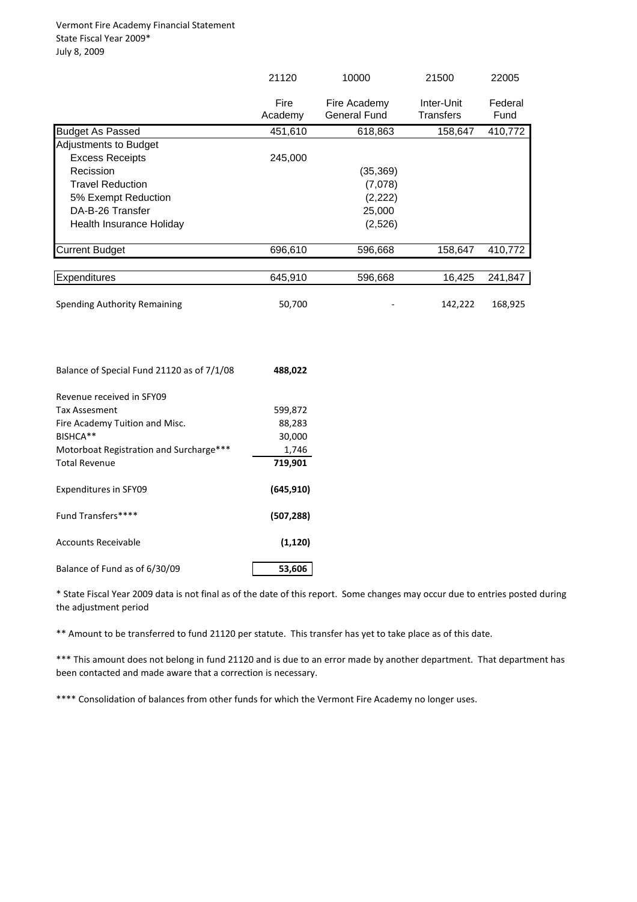|                                            | 21120           | 10000                               | 21500                          | 22005           |
|--------------------------------------------|-----------------|-------------------------------------|--------------------------------|-----------------|
|                                            | Fire<br>Academy | Fire Academy<br><b>General Fund</b> | Inter-Unit<br><b>Transfers</b> | Federal<br>Fund |
| <b>Budget As Passed</b>                    | 451,610         | 618,863                             | 158,647                        | 410,772         |
| Adjustments to Budget                      |                 |                                     |                                |                 |
| <b>Excess Receipts</b>                     | 245,000         |                                     |                                |                 |
| Recission                                  |                 | (35, 369)                           |                                |                 |
| <b>Travel Reduction</b>                    |                 | (7,078)                             |                                |                 |
| 5% Exempt Reduction                        |                 | (2, 222)                            |                                |                 |
| DA-B-26 Transfer                           |                 | 25,000                              |                                |                 |
| Health Insurance Holiday                   |                 | (2,526)                             |                                |                 |
| <b>Current Budget</b>                      | 696,610         | 596,668                             | 158,647                        | 410,772         |
|                                            |                 |                                     |                                |                 |
| Expenditures                               | 645,910         | 596,668                             | 16,425                         | 241,847         |
| Spending Authority Remaining               | 50,700          |                                     | 142,222                        | 168,925         |
| Balance of Special Fund 21120 as of 7/1/08 | 488,022         |                                     |                                |                 |
| Revenue received in SFY09                  |                 |                                     |                                |                 |
| <b>Tax Assesment</b>                       | 599,872         |                                     |                                |                 |
| Fire Academy Tuition and Misc.             | 88,283          |                                     |                                |                 |
| BISHCA**                                   | 30,000          |                                     |                                |                 |
| Motorboat Registration and Surcharge***    | 1,746           |                                     |                                |                 |
| <b>Total Revenue</b>                       | 719,901         |                                     |                                |                 |
| <b>Expenditures in SFY09</b>               | (645, 910)      |                                     |                                |                 |
| Fund Transfers****                         | (507, 288)      |                                     |                                |                 |
| <b>Accounts Receivable</b>                 | (1, 120)        |                                     |                                |                 |
| Balance of Fund as of 6/30/09              | 53,606          |                                     |                                |                 |

\* State Fiscal Year 2009 data is not final as of the date of this report. Some changes may occur due to entries posted during the adjustment period

\*\* Amount to be transferred to fund 21120 per statute. This transfer has yet to take place as of this date.

\*\*\* This amount does not belong in fund 21120 and is due to an error made by another department. That department has been contacted and made aware that a correction is necessary.

\*\*\*\* Consolidation of balances from other funds for which the Vermont Fire Academy no longer uses.